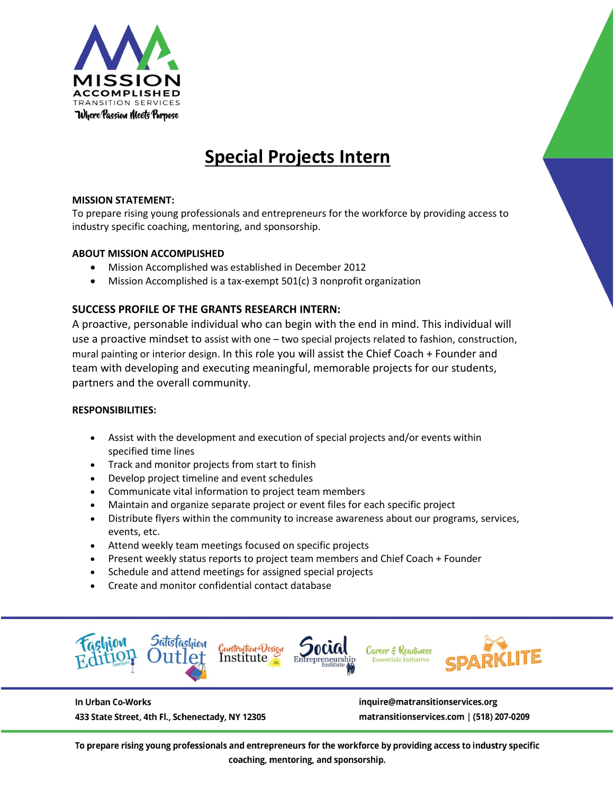

# **Special Projects Intern**

## **MISSION STATEMENT:**

To prepare rising young professionals and entrepreneurs for the workforce by providing access to industry specific coaching, mentoring, and sponsorship.

### **ABOUT MISSION ACCOMPLISHED**

- Mission Accomplished was established in December 2012
- Mission Accomplished is a tax-exempt 501(c) 3 nonprofit organization

# **SUCCESS PROFILE OF THE GRANTS RESEARCH INTERN:**

A proactive, personable individual who can begin with the end in mind. This individual will use a proactive mindset to assist with one – two special projects related to fashion, construction, mural painting or interior design. In this role you will assist the Chief Coach + Founder and team with developing and executing meaningful, memorable projects for our students, partners and the overall community.

### **RESPONSIBILITIES:**

- Assist with the development and execution of special projects and/or events within specified time lines
- Track and monitor projects from start to finish
- Develop project timeline and event schedules
- Communicate vital information to project team members
- Maintain and organize separate project or event files for each specific project
- Distribute flyers within the community to increase awareness about our programs, services, events, etc.
- Attend weekly team meetings focused on specific projects
- Present weekly status reports to project team members and Chief Coach + Founder
- Schedule and attend meetings for assigned special projects
- Create and monitor confidential contact database



In Urban Co-Works

433 State Street, 4th Fl., Schenectady, NY 12305

inquire@matransitionservices.org matransitionservices.com | (518) 207-0209

To prepare rising young professionals and entrepreneurs for the workforce by providing access to industry specific coaching, mentoring, and sponsorship.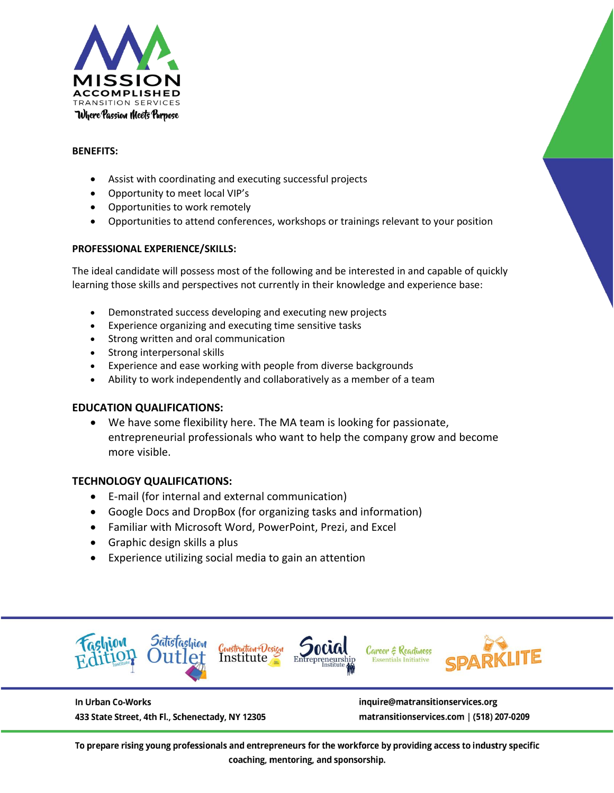

## **BENEFITS:**

- Assist with coordinating and executing successful projects
- Opportunity to meet local VIP's
- Opportunities to work remotely
- Opportunities to attend conferences, workshops or trainings relevant to your position

## **PROFESSIONAL EXPERIENCE/SKILLS:**

The ideal candidate will possess most of the following and be interested in and capable of quickly learning those skills and perspectives not currently in their knowledge and experience base:

- Demonstrated success developing and executing new projects
- Experience organizing and executing time sensitive tasks
- Strong written and oral communication
- Strong interpersonal skills
- Experience and ease working with people from diverse backgrounds
- Ability to work independently and collaboratively as a member of a team

# **EDUCATION QUALIFICATIONS:**

• We have some flexibility here. The MA team is looking for passionate, entrepreneurial professionals who want to help the company grow and become more visible.

# **TECHNOLOGY QUALIFICATIONS:**

- E-mail (for internal and external communication)
- Google Docs and DropBox (for organizing tasks and information)
- Familiar with Microsoft Word, PowerPoint, Prezi, and Excel
- Graphic design skills a plus
- Experience utilizing social media to gain an attention



In Urban Co-Works 433 State Street, 4th Fl., Schenectady, NY 12305 inquire@matransitionservices.org matransitionservices.com | (518) 207-0209

To prepare rising young professionals and entrepreneurs for the workforce by providing access to industry specific coaching, mentoring, and sponsorship.